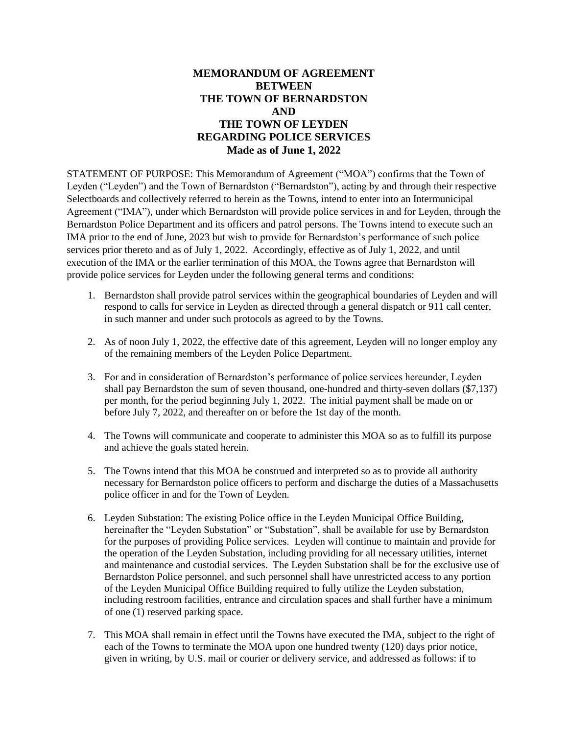## **MEMORANDUM OF AGREEMENT BETWEEN THE TOWN OF BERNARDSTON AND THE TOWN OF LEYDEN REGARDING POLICE SERVICES Made as of June 1, 2022**

STATEMENT OF PURPOSE: This Memorandum of Agreement ("MOA") confirms that the Town of Leyden ("Leyden") and the Town of Bernardston ("Bernardston"), acting by and through their respective Selectboards and collectively referred to herein as the Towns, intend to enter into an Intermunicipal Agreement ("IMA"), under which Bernardston will provide police services in and for Leyden, through the Bernardston Police Department and its officers and patrol persons. The Towns intend to execute such an IMA prior to the end of June, 2023 but wish to provide for Bernardston's performance of such police services prior thereto and as of July 1, 2022*.* Accordingly, effective as of July 1, 2022, and until execution of the IMA or the earlier termination of this MOA, the Towns agree that Bernardston will provide police services for Leyden under the following general terms and conditions:

- 1. Bernardston shall provide patrol services within the geographical boundaries of Leyden and will respond to calls for service in Leyden as directed through a general dispatch or 911 call center, in such manner and under such protocols as agreed to by the Towns.
- 2. As of noon July 1, 2022, the effective date of this agreement, Leyden will no longer employ any of the remaining members of the Leyden Police Department.
- 3. For and in consideration of Bernardston's performance of police services hereunder, Leyden shall pay Bernardston the sum of seven thousand, one-hundred and thirty-seven dollars (\$7,137) per month, for the period beginning July 1, 2022. The initial payment shall be made on or before July 7, 2022, and thereafter on or before the 1st day of the month.
- 4. The Towns will communicate and cooperate to administer this MOA so as to fulfill its purpose and achieve the goals stated herein.
- 5. The Towns intend that this MOA be construed and interpreted so as to provide all authority necessary for Bernardston police officers to perform and discharge the duties of a Massachusetts police officer in and for the Town of Leyden.
- 6. Leyden Substation: The existing Police office in the Leyden Municipal Office Building, hereinafter the "Leyden Substation" or "Substation", shall be available for use by Bernardston for the purposes of providing Police services*.* Leyden will continue to maintain and provide for the operation of the Leyden Substation, including providing for all necessary utilities, internet and maintenance and custodial services. The Leyden Substation shall be for the exclusive use of Bernardston Police personnel, and such personnel shall have unrestricted access to any portion of the Leyden Municipal Office Building required to fully utilize the Leyden substation, including restroom facilities, entrance and circulation spaces and shall further have a minimum of one (1) reserved parking space.
- 7. This MOA shall remain in effect until the Towns have executed the IMA, subject to the right of each of the Towns to terminate the MOA upon one hundred twenty (120) days prior notice, given in writing, by U.S. mail or courier or delivery service, and addressed as follows: if to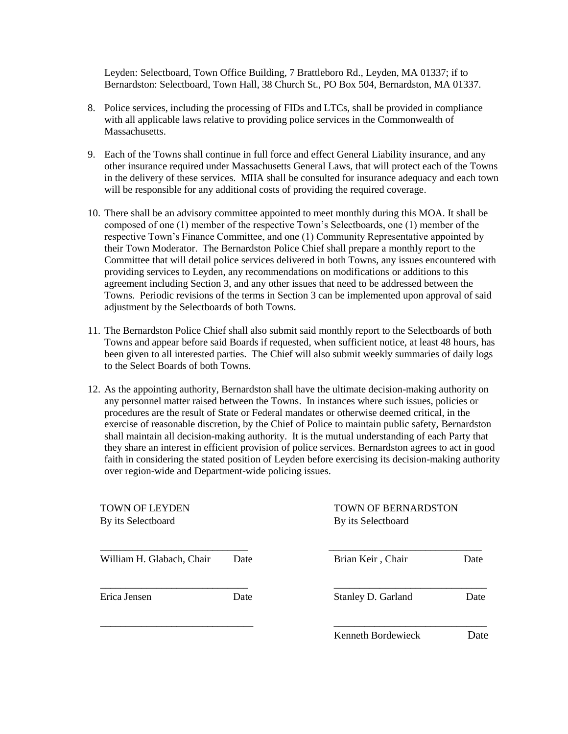Leyden: Selectboard, Town Office Building, 7 Brattleboro Rd., Leyden, MA 01337; if to Bernardston: Selectboard, Town Hall, 38 Church St., PO Box 504, Bernardston, MA 01337.

- 8. Police services, including the processing of FIDs and LTCs, shall be provided in compliance with all applicable laws relative to providing police services in the Commonwealth of Massachusetts.
- 9. Each of the Towns shall continue in full force and effect General Liability insurance, and any other insurance required under Massachusetts General Laws, that will protect each of the Towns in the delivery of these services. MIIA shall be consulted for insurance adequacy and each town will be responsible for any additional costs of providing the required coverage.
- 10. There shall be an advisory committee appointed to meet monthly during this MOA. It shall be composed of one (1) member of the respective Town's Selectboards, one (1) member of the respective Town's Finance Committee, and one (1) Community Representative appointed by their Town Moderator.The Bernardston Police Chief shall prepare a monthly report to the Committee that will detail police services delivered in both Towns, any issues encountered with providing services to Leyden, any recommendations on modifications or additions to this agreement including Section 3, and any other issues that need to be addressed between the Towns. Periodic revisions of the terms in Section 3 can be implemented upon approval of said adjustment by the Selectboards of both Towns.
- 11. The Bernardston Police Chief shall also submit said monthly report to the Selectboards of both Towns and appear before said Boards if requested, when sufficient notice, at least 48 hours, has been given to all interested parties. The Chief will also submit weekly summaries of daily logs to the Select Boards of both Towns.
- 12. As the appointing authority, Bernardston shall have the ultimate decision-making authority on any personnel matter raised between the Towns. In instances where such issues, policies or procedures are the result of State or Federal mandates or otherwise deemed critical, in the exercise of reasonable discretion, by the Chief of Police to maintain public safety, Bernardston shall maintain all decision-making authority. It is the mutual understanding of each Party that they share an interest in efficient provision of police services. Bernardston agrees to act in good faith in considering the stated position of Leyden before exercising its decision-making authority over region-wide and Department-wide policing issues.

| <b>TOWN OF LEYDEN</b><br>By its Selectboard |      | TOWN OF BERNARDSTON<br>By its Selectboard |      |  |
|---------------------------------------------|------|-------------------------------------------|------|--|
| William H. Glabach, Chair                   | Date | Brian Keir, Chair                         | Date |  |
| Erica Jensen                                | Date | Stanley D. Garland                        | Date |  |
|                                             |      | Kenneth Bordewieck                        | Date |  |